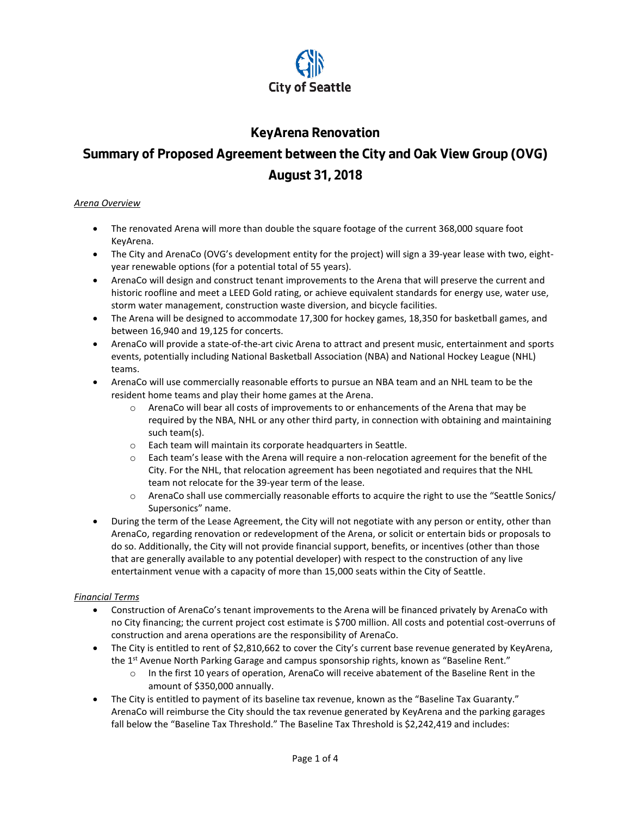

# **KeyArena Renovation**

# **Summary of Proposed Agreement between the City and Oak View Group (OVG) August 31, 2018**

#### *Arena Overview*

- The renovated Arena will more than double the square footage of the current 368,000 square foot KeyArena.
- The City and ArenaCo (OVG's development entity for the project) will sign a 39-year lease with two, eightyear renewable options (for a potential total of 55 years).
- ArenaCo will design and construct tenant improvements to the Arena that will preserve the current and historic roofline and meet a LEED Gold rating, or achieve equivalent standards for energy use, water use, storm water management, construction waste diversion, and bicycle facilities.
- The Arena will be designed to accommodate 17,300 for hockey games, 18,350 for basketball games, and between 16,940 and 19,125 for concerts.
- ArenaCo will provide a state-of-the-art civic Arena to attract and present music, entertainment and sports events, potentially including National Basketball Association (NBA) and National Hockey League (NHL) teams.
- ArenaCo will use commercially reasonable efforts to pursue an NBA team and an NHL team to be the resident home teams and play their home games at the Arena.
	- $\circ$  ArenaCo will bear all costs of improvements to or enhancements of the Arena that may be required by the NBA, NHL or any other third party, in connection with obtaining and maintaining such team(s).
	- o Each team will maintain its corporate headquarters in Seattle.
	- o Each team's lease with the Arena will require a non-relocation agreement for the benefit of the City. For the NHL, that relocation agreement has been negotiated and requires that the NHL team not relocate for the 39-year term of the lease.
	- o ArenaCo shall use commercially reasonable efforts to acquire the right to use the "Seattle Sonics/ Supersonics" name.
- During the term of the Lease Agreement, the City will not negotiate with any person or entity, other than ArenaCo, regarding renovation or redevelopment of the Arena, or solicit or entertain bids or proposals to do so. Additionally, the City will not provide financial support, benefits, or incentives (other than those that are generally available to any potential developer) with respect to the construction of any live entertainment venue with a capacity of more than 15,000 seats within the City of Seattle.

# *Financial Terms*

- Construction of ArenaCo's tenant improvements to the Arena will be financed privately by ArenaCo with no City financing; the current project cost estimate is \$700 million. All costs and potential cost-overruns of construction and arena operations are the responsibility of ArenaCo.
- The City is entitled to rent of \$2,810,662 to cover the City's current base revenue generated by KeyArena, the 1<sup>st</sup> Avenue North Parking Garage and campus sponsorship rights, known as "Baseline Rent."
	- o In the first 10 years of operation, ArenaCo will receive abatement of the Baseline Rent in the amount of \$350,000 annually.
- The City is entitled to payment of its baseline tax revenue, known as the "Baseline Tax Guaranty." ArenaCo will reimburse the City should the tax revenue generated by KeyArena and the parking garages fall below the "Baseline Tax Threshold." The Baseline Tax Threshold is \$2,242,419 and includes: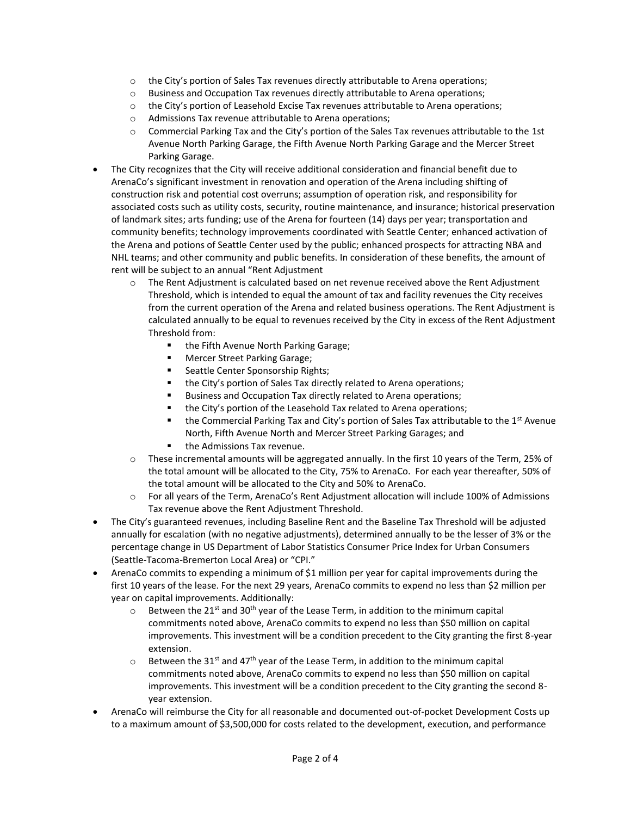- $\circ$  the City's portion of Sales Tax revenues directly attributable to Arena operations;
- $\circ$  Business and Occupation Tax revenues directly attributable to Arena operations;
- $\circ$  the City's portion of Leasehold Excise Tax revenues attributable to Arena operations;
- o Admissions Tax revenue attributable to Arena operations;
- o Commercial Parking Tax and the City's portion of the Sales Tax revenues attributable to the 1st Avenue North Parking Garage, the Fifth Avenue North Parking Garage and the Mercer Street Parking Garage.
- The City recognizes that the City will receive additional consideration and financial benefit due to ArenaCo's significant investment in renovation and operation of the Arena including shifting of construction risk and potential cost overruns; assumption of operation risk, and responsibility for associated costs such as utility costs, security, routine maintenance, and insurance; historical preservation of landmark sites; arts funding; use of the Arena for fourteen (14) days per year; transportation and community benefits; technology improvements coordinated with Seattle Center; enhanced activation of the Arena and potions of Seattle Center used by the public; enhanced prospects for attracting NBA and NHL teams; and other community and public benefits. In consideration of these benefits, the amount of rent will be subject to an annual "Rent Adjustment
	- $\circ$  The Rent Adjustment is calculated based on net revenue received above the Rent Adjustment Threshold, which is intended to equal the amount of tax and facility revenues the City receives from the current operation of the Arena and related business operations. The Rent Adjustment is calculated annually to be equal to revenues received by the City in excess of the Rent Adjustment Threshold from:
		- the Fifth Avenue North Parking Garage;
		- Mercer Street Parking Garage;
		- Seattle Center Sponsorship Rights;
		- the City's portion of Sales Tax directly related to Arena operations;
		- Business and Occupation Tax directly related to Arena operations;
		- the City's portion of the Leasehold Tax related to Arena operations;
		- the Commercial Parking Tax and City's portion of Sales Tax attributable to the 1<sup>st</sup> Avenue North, Fifth Avenue North and Mercer Street Parking Garages; and
		- the Admissions Tax revenue.
	- These incremental amounts will be aggregated annually. In the first 10 years of the Term, 25% of the total amount will be allocated to the City, 75% to ArenaCo. For each year thereafter, 50% of the total amount will be allocated to the City and 50% to ArenaCo.
	- o For all years of the Term, ArenaCo's Rent Adjustment allocation will include 100% of Admissions Tax revenue above the Rent Adjustment Threshold.
- The City's guaranteed revenues, including Baseline Rent and the Baseline Tax Threshold will be adjusted annually for escalation (with no negative adjustments), determined annually to be the lesser of 3% or the percentage change in US Department of Labor Statistics Consumer Price Index for Urban Consumers (Seattle-Tacoma-Bremerton Local Area) or "CPI."
- ArenaCo commits to expending a minimum of \$1 million per year for capital improvements during the first 10 years of the lease. For the next 29 years, ArenaCo commits to expend no less than \$2 million per year on capital improvements. Additionally:
	- $\circ$  Between the 21<sup>st</sup> and 30<sup>th</sup> year of the Lease Term, in addition to the minimum capital commitments noted above, ArenaCo commits to expend no less than \$50 million on capital improvements. This investment will be a condition precedent to the City granting the first 8-year extension.
	- $\circ$  Between the 31<sup>st</sup> and 47<sup>th</sup> year of the Lease Term, in addition to the minimum capital commitments noted above, ArenaCo commits to expend no less than \$50 million on capital improvements. This investment will be a condition precedent to the City granting the second 8 year extension.
- ArenaCo will reimburse the City for all reasonable and documented out-of-pocket Development Costs up to a maximum amount of \$3,500,000 for costs related to the development, execution, and performance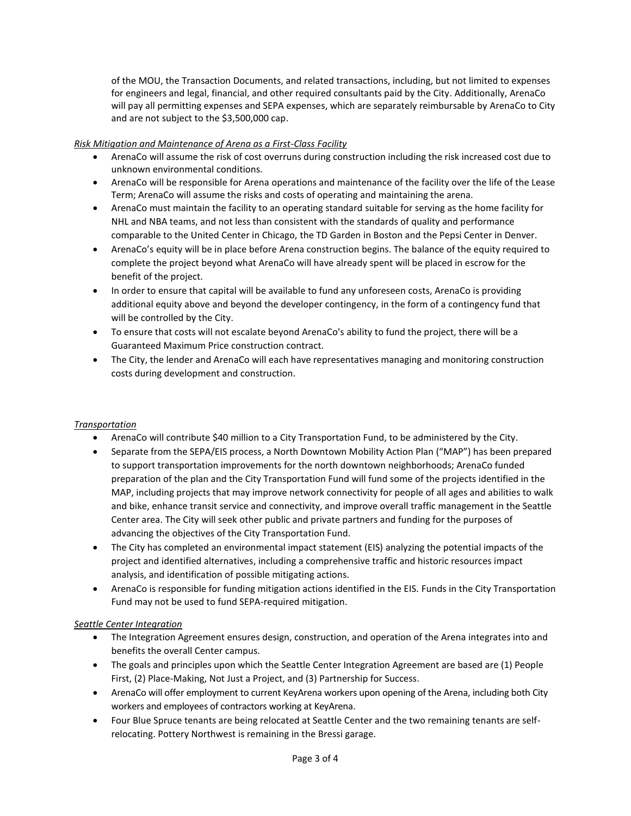of the MOU, the Transaction Documents, and related transactions, including, but not limited to expenses for engineers and legal, financial, and other required consultants paid by the City. Additionally, ArenaCo will pay all permitting expenses and SEPA expenses, which are separately reimbursable by ArenaCo to City and are not subject to the \$3,500,000 cap.

### *Risk Mitigation and Maintenance of Arena as a First-Class Facility*

- ArenaCo will assume the risk of cost overruns during construction including the risk increased cost due to unknown environmental conditions.
- ArenaCo will be responsible for Arena operations and maintenance of the facility over the life of the Lease Term; ArenaCo will assume the risks and costs of operating and maintaining the arena.
- ArenaCo must maintain the facility to an operating standard suitable for serving as the home facility for NHL and NBA teams, and not less than consistent with the standards of quality and performance comparable to the United Center in Chicago, the TD Garden in Boston and the Pepsi Center in Denver.
- ArenaCo's equity will be in place before Arena construction begins. The balance of the equity required to complete the project beyond what ArenaCo will have already spent will be placed in escrow for the benefit of the project.
- In order to ensure that capital will be available to fund any unforeseen costs, ArenaCo is providing additional equity above and beyond the developer contingency, in the form of a contingency fund that will be controlled by the City.
- To ensure that costs will not escalate beyond ArenaCo's ability to fund the project, there will be a Guaranteed Maximum Price construction contract.
- The City, the lender and ArenaCo will each have representatives managing and monitoring construction costs during development and construction.

#### *Transportation*

- ArenaCo will contribute \$40 million to a City Transportation Fund, to be administered by the City.
- Separate from the SEPA/EIS process, a North Downtown Mobility Action Plan ("MAP") has been prepared to support transportation improvements for the north downtown neighborhoods; ArenaCo funded preparation of the plan and the City Transportation Fund will fund some of the projects identified in the MAP, including projects that may improve network connectivity for people of all ages and abilities to walk and bike, enhance transit service and connectivity, and improve overall traffic management in the Seattle Center area. The City will seek other public and private partners and funding for the purposes of advancing the objectives of the City Transportation Fund.
- The City has completed an environmental impact statement (EIS) analyzing the potential impacts of the project and identified alternatives, including a comprehensive traffic and historic resources impact analysis, and identification of possible mitigating actions.
- ArenaCo is responsible for funding mitigation actions identified in the EIS. Funds in the City Transportation Fund may not be used to fund SEPA-required mitigation.

#### *Seattle Center Integration*

- The Integration Agreement ensures design, construction, and operation of the Arena integrates into and benefits the overall Center campus.
- The goals and principles upon which the Seattle Center Integration Agreement are based are (1) People First, (2) Place-Making, Not Just a Project, and (3) Partnership for Success.
- ArenaCo will offer employment to current KeyArena workers upon opening of the Arena, including both City workers and employees of contractors working at KeyArena.
- Four Blue Spruce tenants are being relocated at Seattle Center and the two remaining tenants are selfrelocating. Pottery Northwest is remaining in the Bressi garage.